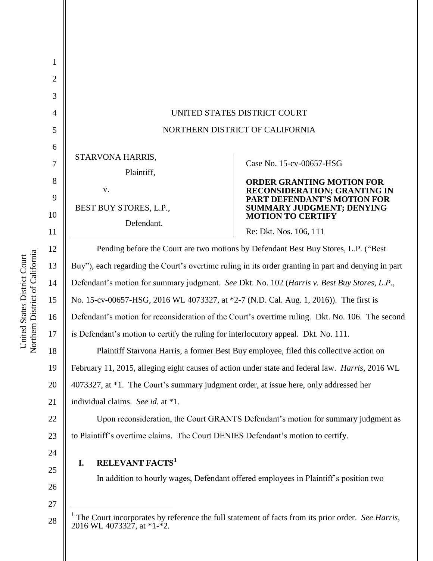| $\mathbf{I}$   |                                                                                                                                              |                                                             |
|----------------|----------------------------------------------------------------------------------------------------------------------------------------------|-------------------------------------------------------------|
| $\overline{2}$ |                                                                                                                                              |                                                             |
| 3              |                                                                                                                                              |                                                             |
| $\overline{4}$ | UNITED STATES DISTRICT COURT                                                                                                                 |                                                             |
| 5              | NORTHERN DISTRICT OF CALIFORNIA                                                                                                              |                                                             |
| 6              |                                                                                                                                              |                                                             |
| 7              | STARVONA HARRIS,                                                                                                                             | Case No. 15-cv-00657-HSG                                    |
| 8              | Plaintiff,                                                                                                                                   | <b>ORDER GRANTING MOTION FOR</b>                            |
| 9              | V.                                                                                                                                           | RECONSIDERATION; GRANTING IN<br>PART DEFENDANT'S MOTION FOR |
| 10             | BEST BUY STORES, L.P.,<br>Defendant.                                                                                                         | SUMMARY JUDGMENT; DENYING<br><b>MOTION TO CERTIFY</b>       |
| 11             |                                                                                                                                              | Re: Dkt. Nos. 106, 111                                      |
| 12             | Pending before the Court are two motions by Defendant Best Buy Stores, L.P. ("Best                                                           |                                                             |
| 13             | Buy"), each regarding the Court's overtime ruling in its order granting in part and denying in part                                          |                                                             |
| 14             | Defendant's motion for summary judgment. See Dkt. No. 102 (Harris v. Best Buy Stores, L.P.,                                                  |                                                             |
| 15             | No. 15-cv-00657-HSG, 2016 WL 4073327, at *2-7 (N.D. Cal. Aug. 1, 2016)). The first is                                                        |                                                             |
| 16             | Defendant's motion for reconsideration of the Court's overtime ruling. Dkt. No. 106. The second                                              |                                                             |
| 17             | is Defendant's motion to certify the ruling for interlocutory appeal. Dkt. No. 111.                                                          |                                                             |
| 18             | Plaintiff Starvona Harris, a former Best Buy employee, filed this collective action on                                                       |                                                             |
| 19             | February 11, 2015, alleging eight causes of action under state and federal law. Harris, 2016 WL                                              |                                                             |
| 20             | 4073327, at *1. The Court's summary judgment order, at issue here, only addressed her                                                        |                                                             |
| 21             | individual claims. See id. at *1.                                                                                                            |                                                             |
| 22             | Upon reconsideration, the Court GRANTS Defendant's motion for summary judgment as                                                            |                                                             |
| 23             | to Plaintiff's overtime claims. The Court DENIES Defendant's motion to certify.                                                              |                                                             |
| 24             |                                                                                                                                              |                                                             |
| 25             | <b>RELEVANT FACTS<sup>1</sup></b><br>I.<br>In addition to hourly wages, Defendant offered employees in Plaintiff's position two              |                                                             |
| 26             |                                                                                                                                              |                                                             |
| 27             |                                                                                                                                              |                                                             |
| 28             | <sup>1</sup> The Court incorporates by reference the full statement of facts from its prior order. See Harris,<br>2016 WL 4073327, at *1-*2. |                                                             |
|                |                                                                                                                                              |                                                             |

United States District Court<br>Northem District of California Northern District of California United States District Court

1

 $\tilde{c}$ 26

 $\overline{2}$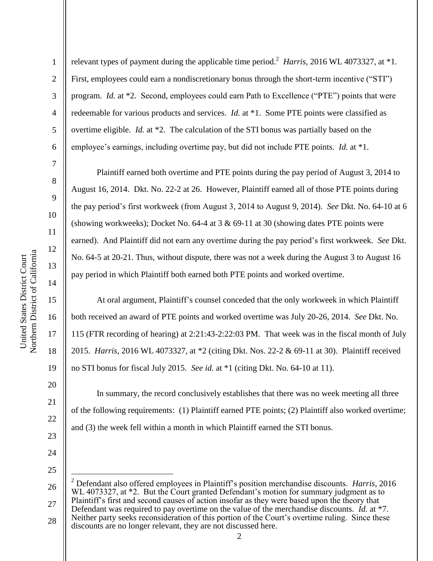1

2

3

4

5

6

7

8

9

10

11

12

13

14

15

16

17

18

19

20

21

22

23

24

25

relevant types of payment during the applicable time period.<sup>2</sup> *Harris*, 2016 WL 4073327, at \*1. First, employees could earn a nondiscretionary bonus through the short-term incentive ("STI") program. *Id.* at \*2. Second, employees could earn Path to Excellence ("PTE") points that were redeemable for various products and services. *Id.* at \*1. Some PTE points were classified as overtime eligible. *Id.* at \*2. The calculation of the STI bonus was partially based on the employee's earnings, including overtime pay, but did not include PTE points. *Id.* at \*1.

Plaintiff earned both overtime and PTE points during the pay period of August 3, 2014 to August 16, 2014. Dkt. No. 22-2 at 26. However, Plaintiff earned all of those PTE points during the pay period's first workweek (from August 3, 2014 to August 9, 2014). *See* Dkt. No. 64-10 at 6 (showing workweeks); Docket No. 64-4 at  $3 \& 69-11$  at  $30$  (showing dates PTE points were earned). And Plaintiff did not earn any overtime during the pay period's first workweek. *See* Dkt. No. 64-5 at 20-21. Thus, without dispute, there was not a week during the August 3 to August 16 pay period in which Plaintiff both earned both PTE points and worked overtime.

At oral argument, Plaintiff's counsel conceded that the only workweek in which Plaintiff both received an award of PTE points and worked overtime was July 20-26, 2014. *See* Dkt. No. 115 (FTR recording of hearing) at 2:21:43-2:22:03 PM. That week was in the fiscal month of July 2015. *Harris*, 2016 WL 4073327, at \*2 (citing Dkt. Nos. 22-2 & 69-11 at 30). Plaintiff received no STI bonus for fiscal July 2015. *See id.* at \*1 (citing Dkt. No. 64-10 at 11).

In summary, the record conclusively establishes that there was no week meeting all three of the following requirements: (1) Plaintiff earned PTE points; (2) Plaintiff also worked overtime; and (3) the week fell within a month in which Plaintiff earned the STI bonus.

<sup>26</sup> 27  $\overline{a}$ <sup>2</sup> Defendant also offered employees in Plaintiff's position merchandise discounts. *Harris*, 2016 WL 4073327, at \*2. But the Court granted Defendant's motion for summary judgment as to Plaintiff's first and second causes of action insofar as they were based upon the theory that

<sup>28</sup> Defendant was required to pay overtime on the value of the merchandise discounts. *Id.* at \*7. Neither party seeks reconsideration of this portion of the Court's overtime ruling. Since these discounts are no longer relevant, they are not discussed here.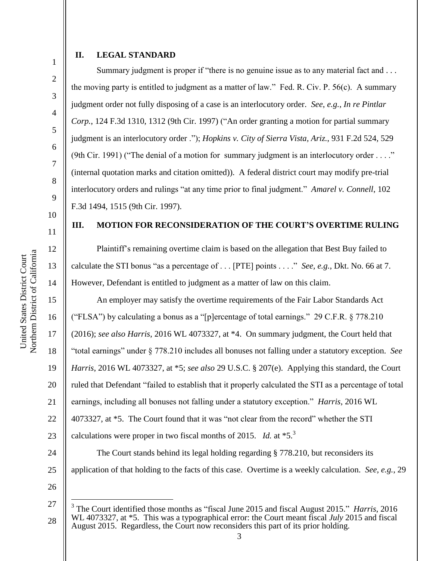## **II. LEGAL STANDARD**

Summary judgment is proper if "there is no genuine issue as to any material fact and ... the moving party is entitled to judgment as a matter of law." Fed. R. Civ. P. 56(c). A summary judgment order not fully disposing of a case is an interlocutory order. *See*, *e.g.*, *In re Pintlar Corp.*, 124 F.3d 1310, 1312 (9th Cir. 1997) ("An order granting a motion for partial summary judgment is an interlocutory order ."); *Hopkins v. City of Sierra Vista, Ariz.*, 931 F.2d 524, 529 (9th Cir. 1991) ("The denial of a motion for summary judgment is an interlocutory order . . . ." (internal quotation marks and citation omitted)). A federal district court may modify pre-trial interlocutory orders and rulings "at any time prior to final judgment." *Amarel v. Connell*, 102 F.3d 1494, 1515 (9th Cir. 1997).

### **III. MOTION FOR RECONSIDERATION OF THE COURT'S OVERTIME RULING**

Plaintiff's remaining overtime claim is based on the allegation that Best Buy failed to calculate the STI bonus "as a percentage of . . . [PTE] points . . . ." *See, e.g.*, Dkt. No. 66 at 7. However, Defendant is entitled to judgment as a matter of law on this claim.

An employer may satisfy the overtime requirements of the Fair Labor Standards Act ("FLSA") by calculating a bonus as a "[p]ercentage of total earnings." 29 C.F.R. § 778.210 (2016); *see also Harris*, 2016 WL 4073327, at \*4. On summary judgment, the Court held that "total earnings" under § 778.210 includes all bonuses not falling under a statutory exception. *See Harris*, 2016 WL 4073327, at \*5; *see also* 29 U.S.C. § 207(e). Applying this standard, the Court ruled that Defendant "failed to establish that it properly calculated the STI as a percentage of total earnings, including all bonuses not falling under a statutory exception." *Harris*, 2016 WL 4073327, at \*5. The Court found that it was "not clear from the record" whether the STI calculations were proper in two fiscal months of 2015. *Id.* at \*5.<sup>3</sup>

The Court stands behind its legal holding regarding § 778.210, but reconsiders its application of that holding to the facts of this case. Overtime is a weekly calculation. *See, e.g.*, 29

26

27

 $\overline{a}$ 

28

1

2

3

4

5

6

7

8

9

10

11

12

13

14

15

16

17

18

19

20

21

22

23

24

25

<sup>3</sup> The Court identified those months as "fiscal June 2015 and fiscal August 2015." *Harris*, 2016 WL 4073327, at \*5. This was a typographical error: the Court meant fiscal *July* 2015 and fiscal August 2015. Regardless, the Court now reconsiders this part of its prior holding.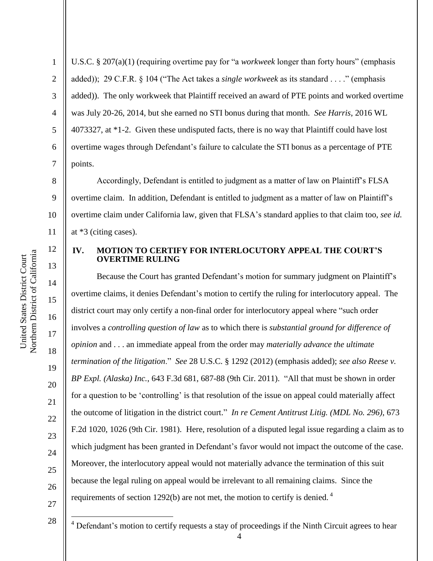1

2

3

4

5

6

7

8

9

11

12

13

14

15

16

17

18

19

20

21

22

23

24

25

26

27

 $\overline{a}$ 

U.S.C. § 207(a)(1) (requiring overtime pay for "a *workweek* longer than forty hours" (emphasis added)); 29 C.F.R. § 104 ("The Act takes a *single workweek* as its standard . . . ." (emphasis added)). The only workweek that Plaintiff received an award of PTE points and worked overtime was July 20-26, 2014, but she earned no STI bonus during that month. *See Harris*, 2016 WL 4073327, at \*1-2. Given these undisputed facts, there is no way that Plaintiff could have lost overtime wages through Defendant's failure to calculate the STI bonus as a percentage of PTE points.

10 Accordingly, Defendant is entitled to judgment as a matter of law on Plaintiff's FLSA overtime claim. In addition, Defendant is entitled to judgment as a matter of law on Plaintiff's overtime claim under California law, given that FLSA's standard applies to that claim too, *see id.*  at \*3 (citing cases).

## **IV. MOTION TO CERTIFY FOR INTERLOCUTORY APPEAL THE COURT'S OVERTIME RULING**

Because the Court has granted Defendant's motion for summary judgment on Plaintiff's overtime claims, it denies Defendant's motion to certify the ruling for interlocutory appeal. The district court may only certify a non-final order for interlocutory appeal where "such order involves a *controlling question of law* as to which there is *substantial ground for difference of opinion* and . . . an immediate appeal from the order may *materially advance the ultimate termination of the litigation*." *See* 28 U.S.C. § 1292 (2012) (emphasis added); *see also Reese v. BP Expl. (Alaska) Inc.*, 643 F.3d 681, 687-88 (9th Cir. 2011). "All that must be shown in order for a question to be 'controlling' is that resolution of the issue on appeal could materially affect the outcome of litigation in the district court." *In re Cement Antitrust Litig. (MDL No. 296)*, 673 F.2d 1020, 1026 (9th Cir. 1981). Here, resolution of a disputed legal issue regarding a claim as to which judgment has been granted in Defendant's favor would not impact the outcome of the case. Moreover, the interlocutory appeal would not materially advance the termination of this suit because the legal ruling on appeal would be irrelevant to all remaining claims. Since the requirements of section 1292(b) are not met, the motion to certify is denied.<sup>4</sup>

28 <sup>4</sup> Defendant's motion to certify requests a stay of proceedings if the Ninth Circuit agrees to hear